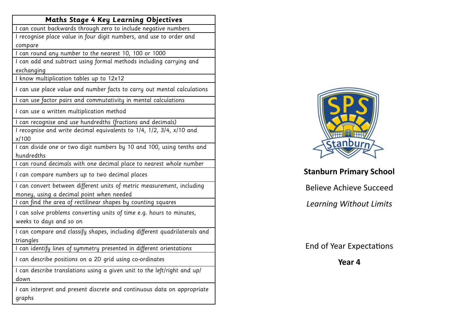| <b>Maths Stage 4 Key Learning Objectives</b>                                                    |
|-------------------------------------------------------------------------------------------------|
| I can count backwards through zero to include negative numbers                                  |
| I recognise place value in four digit numbers, and use to order and                             |
| compare                                                                                         |
| I can round any number to the nearest 10, 100 or 1000                                           |
| I can add and subtract using formal methods including carrying and                              |
| exchanging                                                                                      |
| I know multiplication tables up to 12x12                                                        |
| I can use place value and number facts to carry out mental calculations                         |
| I can use factor pairs and commutativity in mental calculations                                 |
| I can use a written multiplication method                                                       |
| I can recognise and use hundredths (fractions and decimals)                                     |
| I recognise and write decimal equivalents to 1/4, 1/2, 3/4, x/10 and                            |
| x/100                                                                                           |
| I can divide one or two digit numbers by 10 and 100, using tenths and                           |
| hundredths                                                                                      |
| I can round decimals with one decimal place to nearest whole number                             |
| I can compare numbers up to two decimal places                                                  |
| I can convert between different units of metric measurement, including                          |
| money, using a decimal point when needed                                                        |
| I can find the area of rectilinear shapes by counting squares                                   |
| I can solve problems converting units of time e.g. hours to minutes,<br>weeks to days and so on |
|                                                                                                 |
| I can compare and classify shapes, including different quadrilaterals and                       |
| triangles                                                                                       |
| I can identify lines of symmetry presented in different orientations                            |
| I can describe positions on a 2D grid using co-ordinates                                        |
| I can describe translations using a given unit to the left/right and up/                        |
| down                                                                                            |
| I can interpret and present discrete and continuous data on appropriate                         |
| graphs                                                                                          |
|                                                                                                 |



## **Stanburn Primary School**

Believe Achieve Succeed

*Learning Without Limits* 

End of Year Expectations

**Year 4**